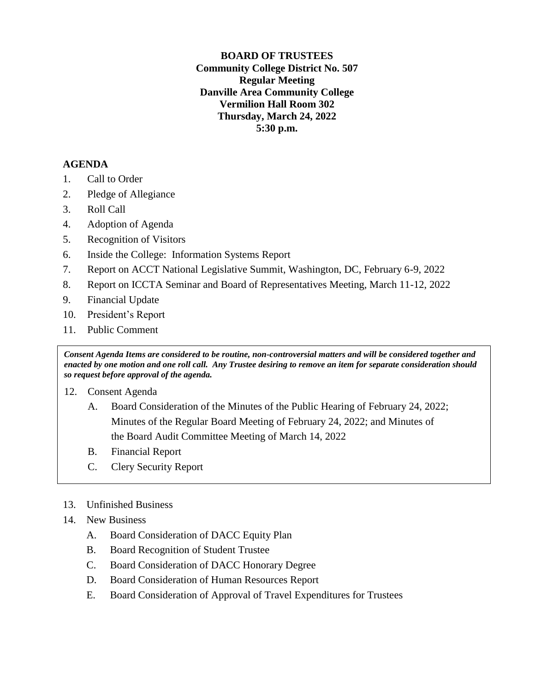**BOARD OF TRUSTEES Community College District No. 507 Regular Meeting Danville Area Community College Vermilion Hall Room 302 Thursday, March 24, 2022 5:30 p.m.**

## **AGENDA**

- 1. Call to Order
- 2. Pledge of Allegiance
- 3. Roll Call
- 4. Adoption of Agenda
- 5. Recognition of Visitors
- 6. Inside the College: Information Systems Report
- 7. Report on ACCT National Legislative Summit, Washington, DC, February 6-9, 2022
- 8. Report on ICCTA Seminar and Board of Representatives Meeting, March 11-12, 2022
- 9. Financial Update
- 10. President's Report
- 11. Public Comment

*Consent Agenda Items are considered to be routine, non-controversial matters and will be considered together and enacted by one motion and one roll call. Any Trustee desiring to remove an item for separate consideration should so request before approval of the agenda.*

- 12. Consent Agenda
	- A. Board Consideration of the Minutes of the Public Hearing of February 24, 2022; Minutes of the Regular Board Meeting of February 24, 2022; and Minutes of the Board Audit Committee Meeting of March 14, 2022
	- B. Financial Report
	- C. Clery Security Report
- 13. Unfinished Business

## 14. New Business

- A. Board Consideration of DACC Equity Plan
- B. Board Recognition of Student Trustee
- C. Board Consideration of DACC Honorary Degree
- D. Board Consideration of Human Resources Report
- E. Board Consideration of Approval of Travel Expenditures for Trustees